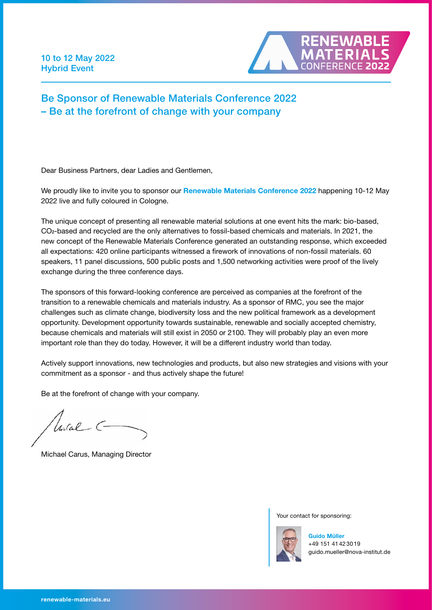10 to 12 May 2022 Hybrid Event



## Be Sponsor of Renewable Materials Conference 2022 – Be at the forefront of change with your company

Dear Business Partners, dear Ladies and Gentlemen,

We proudly like to invite you to sponsor our Renewable Materials Conference 2022 happening 10-12 May 2022 live and fully coloured in Cologne.

The unique concept of presenting all renewable material solutions at one event hits the mark: bio-based, CO2-based and recycled are the only alternatives to fossil-based chemicals and materials. In 2021, the new concept of the Renewable Materials Conference generated an outstanding response, which exceeded all expectations: 420 online participants witnessed a firework of innovations of non-fossil materials. 60 speakers, 11 panel discussions, 500 public posts and 1,500 networking activities were proof of the lively exchange during the three conference days.

The sponsors of this forward-looking conference are perceived as companies at the forefront of the transition to a renewable chemicals and materials industry. As a sponsor of RMC, you see the major challenges such as climate change, biodiversity loss and the new political framework as a development opportunity. Development opportunity towards sustainable, renewable and socially accepted chemistry, because chemicals and materials will still exist in 2050 or 2100. They will probably play an even more important role than they do today. However, it will be a different industry world than today.

Actively support innovations, new technologies and products, but also new strategies and visions with your commitment as a sponsor - and thus actively shape the future!

Be at the forefront of change with your company.

Unital C-

Michael Carus, Managing Director

Your contact for sponsoring:



Guido Müller +49 151 41 42 30 19 [guido.mueller@nova-institut.de](mailto:guido.mueller%40nova-institut.de?subject=)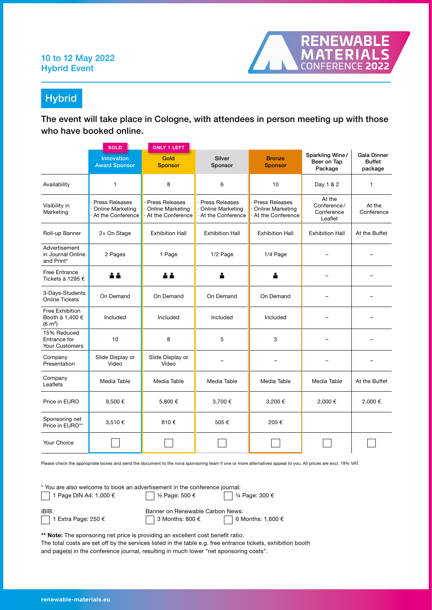## 10 to 12 May 2022 Hybrid Event



**Hybrid** 

The event will take place in Cologne, with attendees in person meeting up with those who have booked online.

|                                                         | <b>SOLD</b>                                                    | <b>ONLY 1 LEFT</b>                                             |                                                         |                                                                |                                                |                                                |
|---------------------------------------------------------|----------------------------------------------------------------|----------------------------------------------------------------|---------------------------------------------------------|----------------------------------------------------------------|------------------------------------------------|------------------------------------------------|
|                                                         | <b>Innovation</b><br><b>Award Sponsor</b>                      | Gold<br><b>Sponsor</b>                                         | Silver<br>Sponsor                                       | <b>Bronze</b><br><b>Sponsor</b>                                | Sparkling Wine/<br>Beer on Tap<br>Package      | <b>Gala Dinner</b><br><b>Buffet</b><br>package |
| Availability                                            | $\mathbf{1}$                                                   | 8                                                              | 6                                                       | 10                                                             | Day 1 & 2                                      | $\mathbf{1}$                                   |
| Visibility in<br>Marketing                              | Press Releases<br><b>Online Marketing</b><br>At the Conference | Press Releases<br><b>Online Marketing</b><br>At the Conference | Press Releases<br>Online Marketing<br>At the Conference | Press Releases<br><b>Online Marketing</b><br>At the Conference | At the<br>Conference/<br>Conference<br>Leaflet | At the<br>Conference                           |
| Roll-up Banner                                          | 2x On Stage                                                    | <b>Exhibition Hall</b>                                         | <b>Exhibition Hall</b>                                  | <b>Exhibition Hall</b>                                         | <b>Exhibition Hall</b>                         | At the Buffet                                  |
| Advertisement<br>in Journal Online<br>and Print*        | 2 Pages                                                        | 1 Page                                                         | 1/2 Page                                                | 1/4 Page                                                       |                                                |                                                |
| <b>Free Entrance</b><br>Tickets à 1295 €                | 2 2                                                            |                                                                |                                                         |                                                                |                                                |                                                |
| 3-Days-Students<br><b>Online Tickets</b>                | On Demand                                                      | On Demand                                                      | On Demand                                               | On Demand                                                      |                                                |                                                |
| Free Exhibition<br>Booth à 1,400 €<br>$(6 \text{ m}^2)$ | Included                                                       | Included                                                       | Included                                                | Included                                                       |                                                |                                                |
| 15% Reduced<br>Entrance for<br><b>Your Customers</b>    | 10                                                             | 8                                                              | 5                                                       | 3                                                              |                                                |                                                |
| Company<br>Presentation                                 | Slide Display or<br>Video                                      | Slide Display or<br>Video                                      |                                                         |                                                                |                                                |                                                |
| Company<br>Leaflets                                     | Media Table                                                    | Media Table                                                    | Media Table                                             | Media Table                                                    | Media Table                                    | At the Buffet                                  |
| Price in EURO                                           | 9,500€                                                         | 5,800€                                                         | 3,700€                                                  | 3,200€                                                         | 2,000€                                         | 2,000€                                         |
| Sponsoring net<br>Price in EURO**                       | 3,510€                                                         | 810€                                                           | 505€                                                    | 205€                                                           |                                                |                                                |
| Your Choice                                             |                                                                |                                                                |                                                         |                                                                |                                                |                                                |

Please check the appropriate boxes and send the document to the nova sponsoring team if one or more alternatives appeal to you. All prices are excl. 19% VAT.

\* You are also welcome to book an advertisement in the conference journal:<br>
<br>
<br>
<br>
<br>
<br>

<br>
<br>  $\begin{array}{|c|c|}\n\hline\n\end{array}$  1 Page DIN A4: 1,000  $\epsilon$ 1 Page DIN A4: 1,000 €  $\sqrt{\frac{1}{2}}$  Page: 500 €  $\sqrt{\frac{1}{4}}$  Page: 300 € iBIB:<br>
Banner on Renewable Carbon News:<br>  $\begin{array}{|c|c|c|c|c|}\n\hline\n & 1 \text{ Extra Page: } 250 & \text{\textsterling} & \text{\textsterling} & 3 \text{ Months: } 800 & \text{\textsterling} & \text{\textsterling} & 6 \text{ N} \\
\hline\n\end{array}$ 3 Months: 800  $\epsilon$  6 Months: 1,600  $\epsilon$ 

\*\* Note: The sponsoring net price is providing an excellent cost benefit ratio.

The total costs are set off by the services listed in the table e.g. free entrance tickets, exhibition booth and page(s) in the conference journal, resulting in much lower "net sponsoring costs".